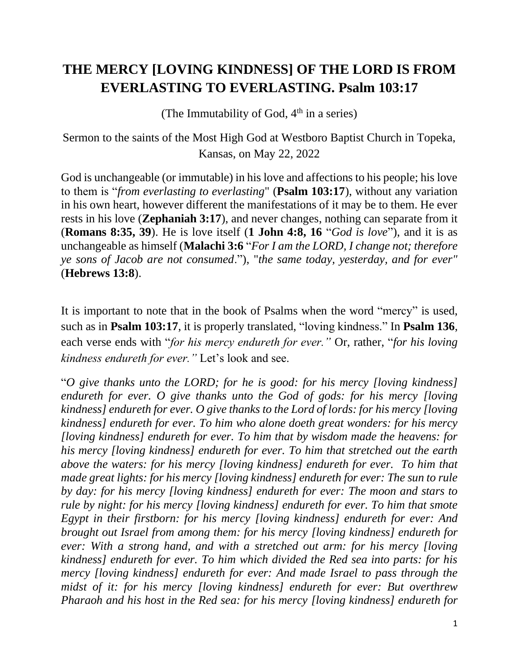## **THE MERCY [LOVING KINDNESS] OF THE LORD IS FROM EVERLASTING TO EVERLASTING. Psalm 103:17**

(The Immutability of God,  $4<sup>th</sup>$  in a series)

Sermon to the saints of the Most High God at Westboro Baptist Church in Topeka, Kansas, on May 22, 2022

God is unchangeable (or immutable) in his love and affections to his people; his love to them is "*from everlasting to everlasting*" (**Psalm 103:17**), without any variation in his own heart, however different the manifestations of it may be to them. He ever rests in his love (**Zephaniah 3:17**), and never changes, nothing can separate from it (**Romans 8:35, 39**). He is love itself (**1 John 4:8, 16** "*God is love*"), and it is as unchangeable as himself (**Malachi 3:6** "*For I am the LORD, I change not; therefore ye sons of Jacob are not consumed*."), "*the same today, yesterday, and for ever"*  (**Hebrews 13:8**).

It is important to note that in the book of Psalms when the word "mercy" is used, such as in **Psalm 103:17**, it is properly translated, "loving kindness." In **Psalm 136**, each verse ends with "*for his mercy endureth for ever."* Or, rather, "*for his loving kindness endureth for ever."* Let's look and see.

"*O give thanks unto the LORD; for he is good: for his mercy [loving kindness] endureth for ever. O give thanks unto the God of gods: for his mercy [loving kindness] endureth for ever. O give thanks to the Lord of lords: for his mercy [loving kindness] endureth for ever. To him who alone doeth great wonders: for his mercy [loving kindness] endureth for ever. To him that by wisdom made the heavens: for his mercy [loving kindness] endureth for ever. To him that stretched out the earth above the waters: for his mercy [loving kindness] endureth for ever. To him that made great lights: for his mercy [loving kindness] endureth for ever: The sun to rule by day: for his mercy [loving kindness] endureth for ever: The moon and stars to rule by night: for his mercy [loving kindness] endureth for ever. To him that smote Egypt in their firstborn: for his mercy [loving kindness] endureth for ever: And brought out Israel from among them: for his mercy [loving kindness] endureth for ever: With a strong hand, and with a stretched out arm: for his mercy [loving kindness] endureth for ever. To him which divided the Red sea into parts: for his mercy [loving kindness] endureth for ever: And made Israel to pass through the midst of it: for his mercy [loving kindness] endureth for ever: But overthrew Pharaoh and his host in the Red sea: for his mercy [loving kindness] endureth for*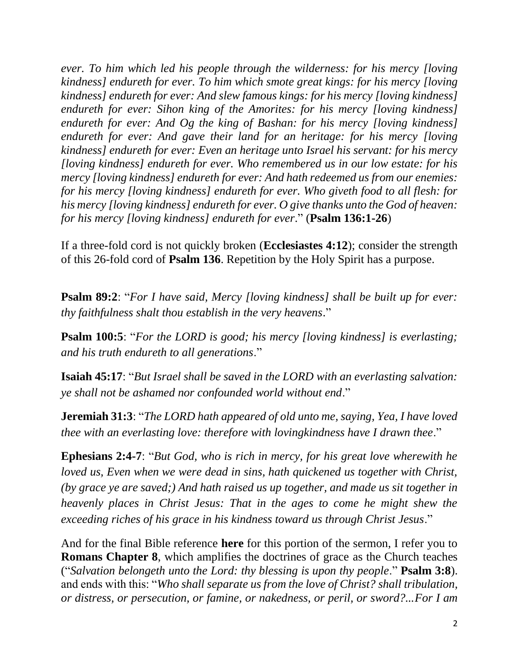*ever. To him which led his people through the wilderness: for his mercy [loving kindness] endureth for ever. To him which smote great kings: for his mercy [loving kindness] endureth for ever: And slew famous kings: for his mercy [loving kindness] endureth for ever: Sihon king of the Amorites: for his mercy [loving kindness] endureth for ever: And Og the king of Bashan: for his mercy [loving kindness] endureth for ever: And gave their land for an heritage: for his mercy [loving kindness] endureth for ever: Even an heritage unto Israel his servant: for his mercy [loving kindness] endureth for ever. Who remembered us in our low estate: for his mercy [loving kindness] endureth for ever: And hath redeemed us from our enemies: for his mercy [loving kindness] endureth for ever. Who giveth food to all flesh: for his mercy [loving kindness] endureth for ever. O give thanks unto the God of heaven: for his mercy [loving kindness] endureth for ever*." (**Psalm 136:1-26**)

If a three-fold cord is not quickly broken (**Ecclesiastes 4:12**); consider the strength of this 26-fold cord of **Psalm 136**. Repetition by the Holy Spirit has a purpose.

**Psalm 89:2**: "*For I have said, Mercy [loving kindness] shall be built up for ever: thy faithfulness shalt thou establish in the very heavens*."

**Psalm 100:5**: "*For the LORD is good; his mercy [loving kindness] is everlasting; and his truth endureth to all generations*."

**Isaiah 45:17**: "*But Israel shall be saved in the LORD with an everlasting salvation: ye shall not be ashamed nor confounded world without end*."

**Jeremiah 31:3**: "*The LORD hath appeared of old unto me, saying, Yea, I have loved thee with an everlasting love: therefore with lovingkindness have I drawn thee*."

**Ephesians 2:4-7**: "*But God, who is rich in mercy, for his great love wherewith he loved us, Even when we were dead in sins, hath quickened us together with Christ, (by grace ye are saved;) And hath raised us up together, and made us sit together in heavenly places in Christ Jesus: That in the ages to come he might shew the exceeding riches of his grace in his kindness toward us through Christ Jesus*."

And for the final Bible reference **here** for this portion of the sermon, I refer you to **Romans Chapter 8**, which amplifies the doctrines of grace as the Church teaches ("*Salvation belongeth unto the Lord: thy blessing is upon thy people*." **Psalm 3:8**). and ends with this: "*Who shall separate us from the love of Christ? shall tribulation, or distress, or persecution, or famine, or nakedness, or peril, or sword?...For I am*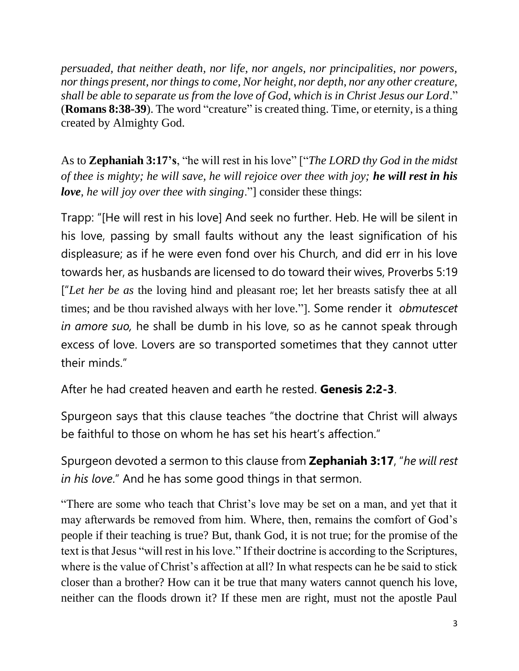*persuaded, that neither death, nor life, nor angels, nor principalities, nor powers, nor things present, nor things to come, Nor height, nor depth, nor any other creature, shall be able to separate us from the love of God, which is in Christ Jesus our Lord*." (**Romans 8:38-39**). The word "creature" is created thing. Time, or eternity, is a thing created by Almighty God.

As to **Zephaniah 3:17's**, "he will rest in his love" ["*The LORD thy God in the midst of thee is mighty; he will save, he will rejoice over thee with joy; he will rest in his love, he will joy over thee with singing*."] consider these things:

Trapp: "[He will rest in his love] And seek no further. Heb. He will be silent in his love, passing by small faults without any the least signification of his displeasure; as if he were even fond over his Church, and did err in his love towards her, as husbands are licensed to do toward their wives, Proverbs 5:19 ["*Let her be as* the loving hind and pleasant roe; let her breasts satisfy thee at all times; and be thou ravished always with her love."]. Some render it *obmutescet in amore suo,* he shall be dumb in his love, so as he cannot speak through excess of love. Lovers are so transported sometimes that they cannot utter their minds."

After he had created heaven and earth he rested. **Genesis 2:2-3**.

Spurgeon says that this clause teaches "the doctrine that Christ will always be faithful to those on whom he has set his heart's affection."

Spurgeon devoted a sermon to this clause from **Zephaniah 3:17**, "*he will rest in his love*." And he has some good things in that sermon.

"There are some who teach that Christ's love may be set on a man, and yet that it may afterwards be removed from him. Where, then, remains the comfort of God's people if their teaching is true? But, thank God, it is not true; for the promise of the text is that Jesus "will rest in his love." If their doctrine is according to the Scriptures, where is the value of Christ's affection at all? In what respects can he be said to stick closer than a brother? How can it be true that many waters cannot quench his love, neither can the floods drown it? If these men are right, must not the apostle Paul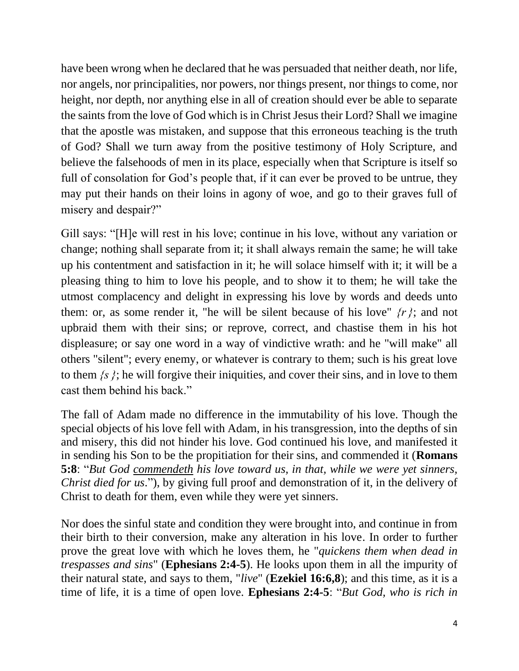have been wrong when he declared that he was persuaded that neither death, nor life, nor angels, nor principalities, nor powers, nor things present, nor things to come, nor height, nor depth, nor anything else in all of creation should ever be able to separate the saints from the love of God which is in Christ Jesus their Lord? Shall we imagine that the apostle was mistaken, and suppose that this erroneous teaching is the truth of God? Shall we turn away from the positive testimony of Holy Scripture, and believe the falsehoods of men in its place, especially when that Scripture is itself so full of consolation for God's people that, if it can ever be proved to be untrue, they may put their hands on their loins in agony of woe, and go to their graves full of misery and despair?"

Gill says: "[H]e will rest in his love; continue in his love, without any variation or change; nothing shall separate from it; it shall always remain the same; he will take up his contentment and satisfaction in it; he will solace himself with it; it will be a pleasing thing to him to love his people, and to show it to them; he will take the utmost complacency and delight in expressing his love by words and deeds unto them: or, as some render it, "he will be silent because of his love"  $\{r\}$ ; and not upbraid them with their sins; or reprove, correct, and chastise them in his hot displeasure; or say one word in a way of vindictive wrath: and he "will make" all others "silent"; every enemy, or whatever is contrary to them; such is his great love to them *{s }*; he will forgive their iniquities, and cover their sins, and in love to them cast them behind his back."

The fall of Adam made no difference in the immutability of his love. Though the special objects of his love fell with Adam, in his transgression, into the depths of sin and misery, this did not hinder his love. God continued his love, and manifested it in sending his Son to be the propitiation for their sins, and commended it (**Romans 5:8**: "*But God commendeth his love toward us, in that, while we were yet sinners, Christ died for us*."), by giving full proof and demonstration of it, in the delivery of Christ to death for them, even while they were yet sinners.

Nor does the sinful state and condition they were brought into, and continue in from their birth to their conversion, make any alteration in his love. In order to further prove the great love with which he loves them, he "*quickens them when dead in trespasses and sins*" (**Ephesians 2:4-5**). He looks upon them in all the impurity of their natural state, and says to them, "*live*" (**Ezekiel 16:6,8**); and this time, as it is a time of life, it is a time of open love. **Ephesians 2:4-5**: "*But God, who is rich in*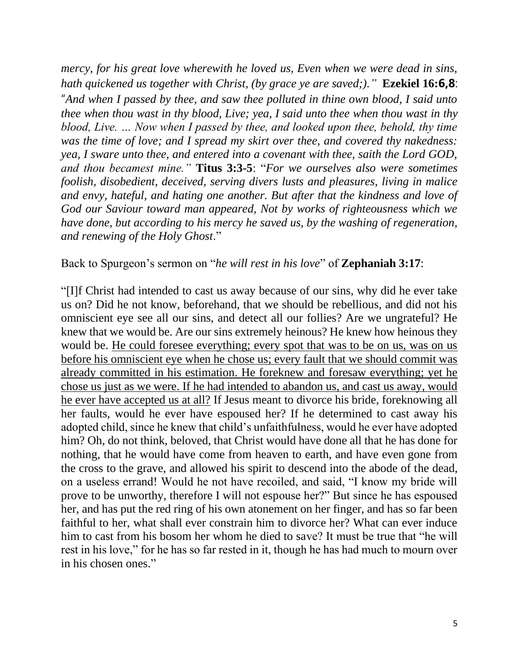*mercy, for his great love wherewith he loved us, Even when we were dead in sins, hath quickened us together with Christ, (by grace ye are saved;)."* **Ezekiel 16:6,8**: "*And when I passed by thee, and saw thee polluted in thine own blood, I said unto thee when thou wast in thy blood, Live; yea, I said unto thee when thou wast in thy blood, Live. … Now when I passed by thee, and looked upon thee, behold, thy time was the time of love; and I spread my skirt over thee, and covered thy nakedness: yea, I sware unto thee, and entered into a covenant with thee, saith the Lord GOD, and thou becamest mine."* **Titus 3:3-5**: "*For we ourselves also were sometimes foolish, disobedient, deceived, serving divers lusts and pleasures, living in malice and envy, hateful, and hating one another. But after that the kindness and love of God our Saviour toward man appeared, Not by works of righteousness which we have done, but according to his mercy he saved us, by the washing of regeneration, and renewing of the Holy Ghost*."

Back to Spurgeon's sermon on "*he will rest in his love*" of **Zephaniah 3:17**:

"[I]f Christ had intended to cast us away because of our sins, why did he ever take us on? Did he not know, beforehand, that we should be rebellious, and did not his omniscient eye see all our sins, and detect all our follies? Are we ungrateful? He knew that we would be. Are our sins extremely heinous? He knew how heinous they would be. He could foresee everything; every spot that was to be on us, was on us before his omniscient eye when he chose us; every fault that we should commit was already committed in his estimation. He foreknew and foresaw everything; yet he chose us just as we were. If he had intended to abandon us, and cast us away, would he ever have accepted us at all? If Jesus meant to divorce his bride, foreknowing all her faults, would he ever have espoused her? If he determined to cast away his adopted child, since he knew that child's unfaithfulness, would he ever have adopted him? Oh, do not think, beloved, that Christ would have done all that he has done for nothing, that he would have come from heaven to earth, and have even gone from the cross to the grave, and allowed his spirit to descend into the abode of the dead, on a useless errand! Would he not have recoiled, and said, "I know my bride will prove to be unworthy, therefore I will not espouse her?" But since he has espoused her, and has put the red ring of his own atonement on her finger, and has so far been faithful to her, what shall ever constrain him to divorce her? What can ever induce him to cast from his bosom her whom he died to save? It must be true that "he will rest in his love," for he has so far rested in it, though he has had much to mourn over in his chosen ones."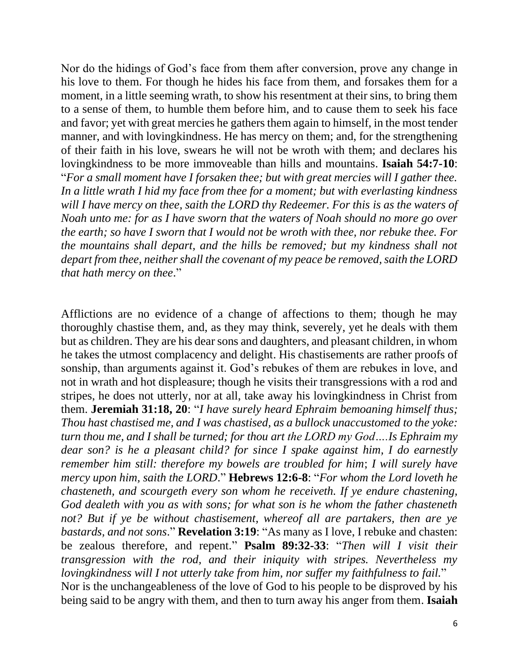Nor do the hidings of God's face from them after conversion, prove any change in his love to them. For though he hides his face from them, and forsakes them for a moment, in a little seeming wrath, to show his resentment at their sins, to bring them to a sense of them, to humble them before him, and to cause them to seek his face and favor; yet with great mercies he gathers them again to himself, in the most tender manner, and with lovingkindness. He has mercy on them; and, for the strengthening of their faith in his love, swears he will not be wroth with them; and declares his lovingkindness to be more immoveable than hills and mountains. **Isaiah 54:7-10**: "*For a small moment have I forsaken thee; but with great mercies will I gather thee. In a little wrath I hid my face from thee for a moment; but with everlasting kindness will I have mercy on thee, saith the LORD thy Redeemer. For this is as the waters of Noah unto me: for as I have sworn that the waters of Noah should no more go over the earth; so have I sworn that I would not be wroth with thee, nor rebuke thee. For the mountains shall depart, and the hills be removed; but my kindness shall not depart from thee, neither shall the covenant of my peace be removed, saith the LORD that hath mercy on thee*."

Afflictions are no evidence of a change of affections to them; though he may thoroughly chastise them, and, as they may think, severely, yet he deals with them but as children. They are his dear sons and daughters, and pleasant children, in whom he takes the utmost complacency and delight. His chastisements are rather proofs of sonship, than arguments against it. God's rebukes of them are rebukes in love, and not in wrath and hot displeasure; though he visits their transgressions with a rod and stripes, he does not utterly, nor at all, take away his lovingkindness in Christ from them. **Jeremiah 31:18, 20**: "*I have surely heard Ephraim bemoaning himself thus; Thou hast chastised me, and I was chastised, as a bullock unaccustomed to the yoke: turn thou me, and I shall be turned; for thou art the LORD my God….Is Ephraim my dear son? is he a pleasant child? for since I spake against him, I do earnestly remember him still: therefore my bowels are troubled for him*; *I will surely have mercy upon him, saith the LORD*." **Hebrews 12:6-8**: "*For whom the Lord loveth he chasteneth, and scourgeth every son whom he receiveth. If ye endure chastening, God dealeth with you as with sons; for what son is he whom the father chasteneth not? But if ye be without chastisement, whereof all are partakers, then are ye bastards, and not sons*." **Revelation 3:19**: "As many as I love, I rebuke and chasten: be zealous therefore, and repent." **Psalm 89:32-33**: "*Then will I visit their transgression with the rod, and their iniquity with stripes. Nevertheless my lovingkindness will I not utterly take from him, nor suffer my faithfulness to fail.*" Nor is the unchangeableness of the love of God to his people to be disproved by his being said to be angry with them, and then to turn away his anger from them. **Isaiah**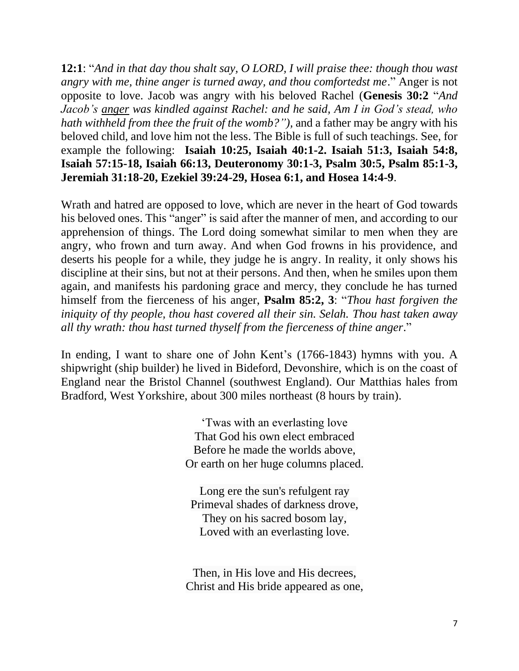**12:1**: "*And in that day thou shalt say, O LORD, I will praise thee: though thou wast angry with me, thine anger is turned away, and thou comfortedst me*." Anger is not opposite to love. Jacob was angry with his beloved Rachel (**Genesis 30:2** "*And Jacob's anger was kindled against Rachel: and he said, Am I in God's stead, who hath withheld from thee the fruit of the womb?"),* and a father may be angry with his beloved child, and love him not the less. The Bible is full of such teachings. See, for example the following: **Isaiah 10:25, Isaiah 40:1-2. Isaiah 51:3, Isaiah 54:8, Isaiah 57:15-18, Isaiah 66:13, Deuteronomy 30:1-3, Psalm 30:5, Psalm 85:1-3, Jeremiah 31:18-20, Ezekiel 39:24-29, Hosea 6:1, and Hosea 14:4-9**.

Wrath and hatred are opposed to love, which are never in the heart of God towards his beloved ones. This "anger" is said after the manner of men, and according to our apprehension of things. The Lord doing somewhat similar to men when they are angry, who frown and turn away. And when God frowns in his providence, and deserts his people for a while, they judge he is angry. In reality, it only shows his discipline at their sins, but not at their persons. And then, when he smiles upon them again, and manifests his pardoning grace and mercy, they conclude he has turned himself from the fierceness of his anger, **Psalm 85:2, 3**: "*Thou hast forgiven the iniquity of thy people, thou hast covered all their sin. Selah. Thou hast taken away all thy wrath: thou hast turned thyself from the fierceness of thine anger*."

In ending, I want to share one of John Kent's (1766-1843) hymns with you. A shipwright (ship builder) he lived in Bideford, Devonshire, which is on the coast of England near the Bristol Channel (southwest England). Our Matthias hales from Bradford, West Yorkshire, about 300 miles northeast (8 hours by train).

> 'Twas with an everlasting love That God his own elect embraced Before he made the worlds above, Or earth on her huge columns placed.

Long ere the sun's refulgent ray Primeval shades of darkness drove, They on his sacred bosom lay, Loved with an everlasting love.

Then, in His love and His decrees, Christ and His bride appeared as one,